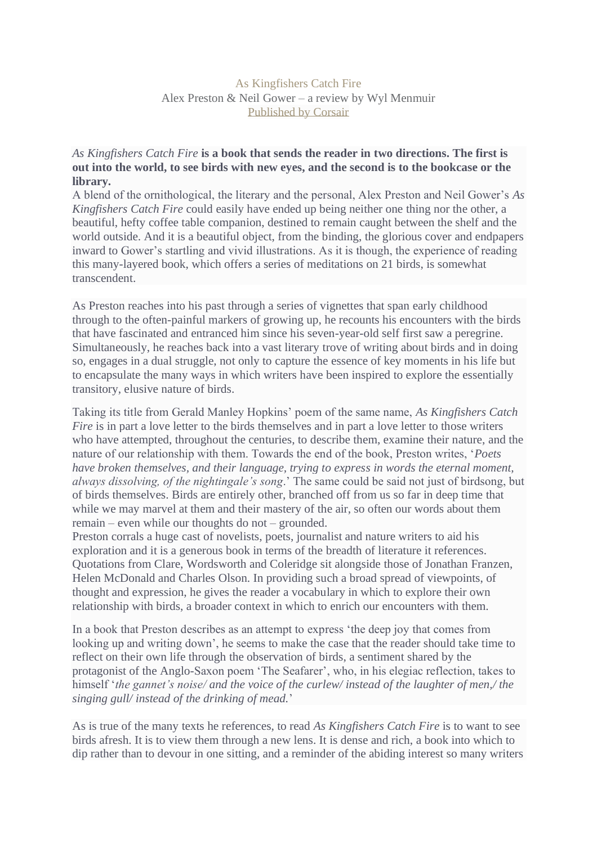As Kingfishers Catch Fire Alex Preston & Neil Gower – a review by Wyl Menmuir [Published by Corsair](https://www.littlebrown.co.uk/Corsair/about-corsair.page)

## *As Kingfishers Catch Fire* **is a book that sends the reader in two directions. The first is out into the world, to see birds with new eyes, and the second is to the bookcase or the library.**

A blend of the ornithological, the literary and the personal, Alex Preston and Neil Gower's *As Kingfishers Catch Fire* could easily have ended up being neither one thing nor the other, a beautiful, hefty coffee table companion, destined to remain caught between the shelf and the world outside. And it is a beautiful object, from the binding, the glorious cover and endpapers inward to Gower's startling and vivid illustrations. As it is though, the experience of reading this many-layered book, which offers a series of meditations on 21 birds, is somewhat transcendent.

As Preston reaches into his past through a series of vignettes that span early childhood through to the often-painful markers of growing up, he recounts his encounters with the birds that have fascinated and entranced him since his seven-year-old self first saw a peregrine. Simultaneously, he reaches back into a vast literary trove of writing about birds and in doing so, engages in a dual struggle, not only to capture the essence of key moments in his life but to encapsulate the many ways in which writers have been inspired to explore the essentially transitory, elusive nature of birds.

Taking its title from Gerald Manley Hopkins' poem of the same name, *As Kingfishers Catch Fire* is in part a love letter to the birds themselves and in part a love letter to those writers who have attempted, throughout the centuries, to describe them, examine their nature, and the nature of our relationship with them. Towards the end of the book, Preston writes, '*Poets have broken themselves, and their language, trying to express in words the eternal moment, always dissolving, of the nightingale's song*.' The same could be said not just of birdsong, but of birds themselves. Birds are entirely other, branched off from us so far in deep time that while we may marvel at them and their mastery of the air, so often our words about them remain – even while our thoughts do not – grounded.

Preston corrals a huge cast of novelists, poets, journalist and nature writers to aid his exploration and it is a generous book in terms of the breadth of literature it references. Quotations from Clare, Wordsworth and Coleridge sit alongside those of Jonathan Franzen, Helen McDonald and Charles Olson. In providing such a broad spread of viewpoints, of thought and expression, he gives the reader a vocabulary in which to explore their own relationship with birds, a broader context in which to enrich our encounters with them.

In a book that Preston describes as an attempt to express 'the deep joy that comes from looking up and writing down', he seems to make the case that the reader should take time to reflect on their own life through the observation of birds, a sentiment shared by the protagonist of the Anglo-Saxon poem 'The Seafarer', who, in his elegiac reflection, takes to himself '*the gannet's noise/ and the voice of the curlew/ instead of the laughter of men,/ the singing gull/ instead of the drinking of mead.*'

As is true of the many texts he references, to read *As Kingfishers Catch Fire* is to want to see birds afresh. It is to view them through a new lens. It is dense and rich, a book into which to dip rather than to devour in one sitting, and a reminder of the abiding interest so many writers